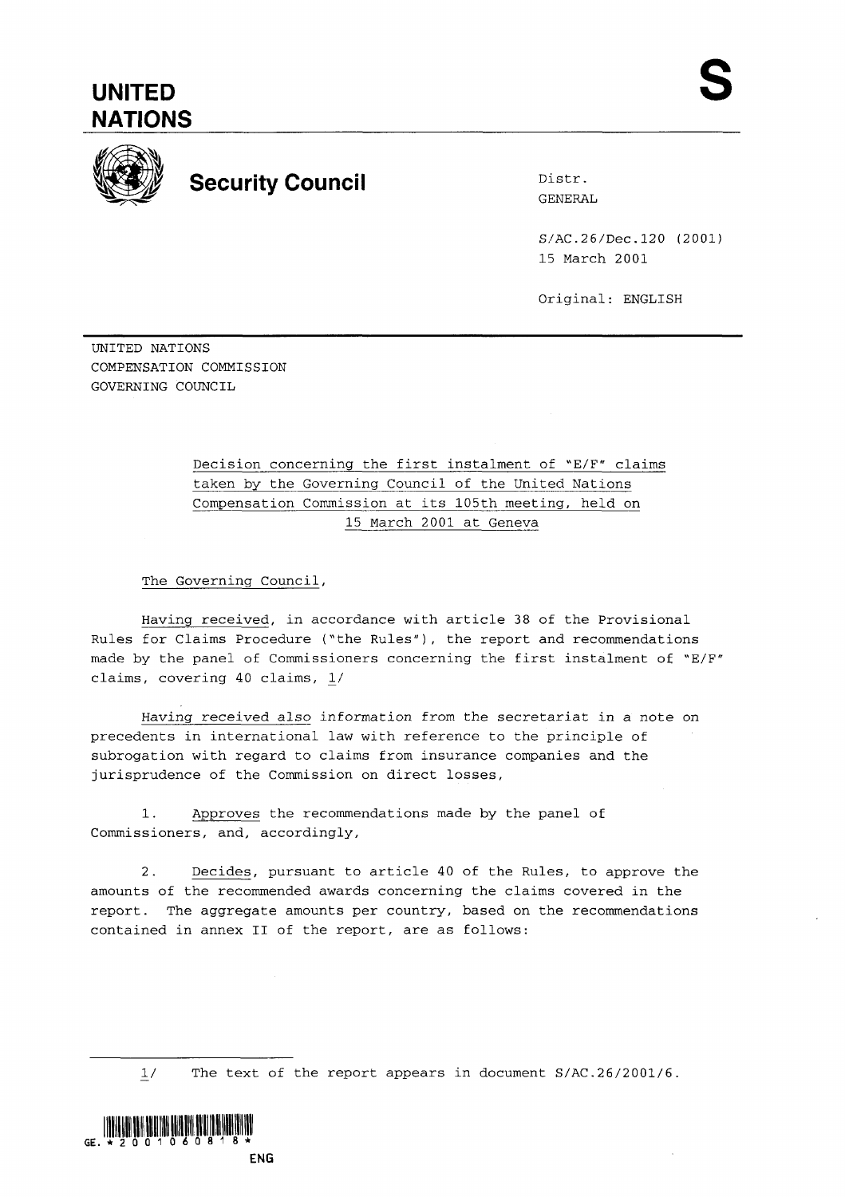## **UNITED NATIONS**



## **Security Council** Distr.

GENERAL

S/AC.26/Dec.120 (2001) 15 March 2001

Original: ENGLISH

UNITED NATIONS COMPENSATION COMMISSION GOVERNING COUNCIL

> Decision concerning the first instalment of "E/F" claims taken by the Governing Council of the United Nations Compensation Commission at its 105th meeting, held on 15 March 2001 at Geneva

The Governing Council,

Having received, in accordance with article 38 of the Provisional Rules for Claims Procedure ('the Rules"), the report and recommendations made by the panel of Commissioners concerning the first instalment of "E/F" claims, covering 40 claims, 1/

Having received also information from the secretariat in a note on precedents in international law with reference to the principle of subrogation with regard to claims from insurance companies and the jurisprudence of the Commission on direct losses,

1. Approves the recommendations made by the panel of Commissioners, and, accordingly,

2. Decides, pursuant to article 40 of the Rules, to approve the amounts of the recommended awards concerning the claims covered in the report. The aggregate amounts per country, based on the recommendations contained in annex 11 of the report, are as follows:

 $1/$ The text of the report appears in document S/AC.26/2001/6.